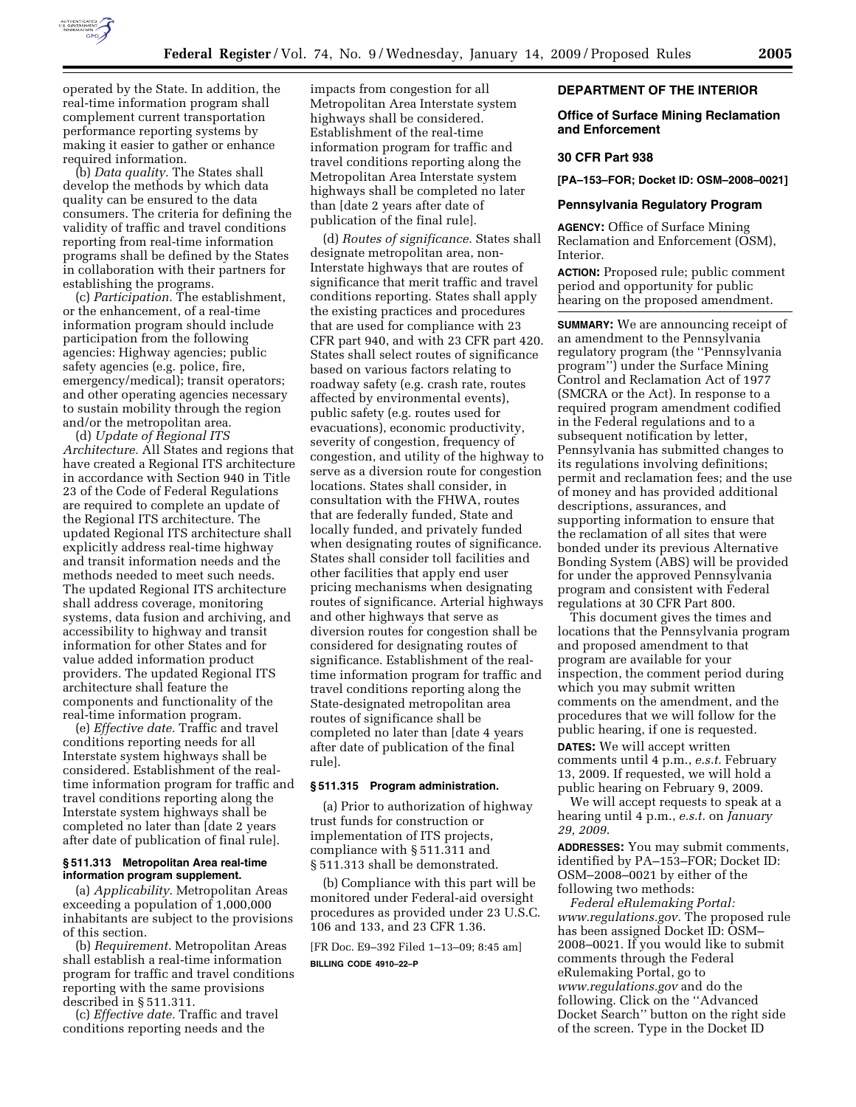

operated by the State. In addition, the real-time information program shall complement current transportation performance reporting systems by making it easier to gather or enhance required information.

(b) *Data quality.* The States shall develop the methods by which data quality can be ensured to the data consumers. The criteria for defining the validity of traffic and travel conditions reporting from real-time information programs shall be defined by the States in collaboration with their partners for establishing the programs.

(c) *Participation.* The establishment, or the enhancement, of a real-time information program should include participation from the following agencies: Highway agencies; public safety agencies (e.g. police, fire, emergency/medical); transit operators; and other operating agencies necessary to sustain mobility through the region and/or the metropolitan area.

(d) *Update of Regional ITS Architecture.* All States and regions that have created a Regional ITS architecture in accordance with Section 940 in Title 23 of the Code of Federal Regulations are required to complete an update of the Regional ITS architecture. The updated Regional ITS architecture shall explicitly address real-time highway and transit information needs and the methods needed to meet such needs. The updated Regional ITS architecture shall address coverage, monitoring systems, data fusion and archiving, and accessibility to highway and transit information for other States and for value added information product providers. The updated Regional ITS architecture shall feature the components and functionality of the real-time information program.

(e) *Effective date.* Traffic and travel conditions reporting needs for all Interstate system highways shall be considered. Establishment of the realtime information program for traffic and travel conditions reporting along the Interstate system highways shall be completed no later than [date 2 years after date of publication of final rule].

## **§ 511.313 Metropolitan Area real-time information program supplement.**

(a) *Applicability.* Metropolitan Areas exceeding a population of 1,000,000 inhabitants are subject to the provisions of this section.

(b) *Requirement.* Metropolitan Areas shall establish a real-time information program for traffic and travel conditions reporting with the same provisions described in § 511.311.

(c) *Effective date.* Traffic and travel conditions reporting needs and the

impacts from congestion for all Metropolitan Area Interstate system highways shall be considered. Establishment of the real-time information program for traffic and travel conditions reporting along the Metropolitan Area Interstate system highways shall be completed no later than [date 2 years after date of publication of the final rule].

(d) *Routes of significance.* States shall designate metropolitan area, non-Interstate highways that are routes of significance that merit traffic and travel conditions reporting. States shall apply the existing practices and procedures that are used for compliance with 23 CFR part 940, and with 23 CFR part 420. States shall select routes of significance based on various factors relating to roadway safety (e.g. crash rate, routes affected by environmental events), public safety (e.g. routes used for evacuations), economic productivity, severity of congestion, frequency of congestion, and utility of the highway to serve as a diversion route for congestion locations. States shall consider, in consultation with the FHWA, routes that are federally funded, State and locally funded, and privately funded when designating routes of significance. States shall consider toll facilities and other facilities that apply end user pricing mechanisms when designating routes of significance. Arterial highways and other highways that serve as diversion routes for congestion shall be considered for designating routes of significance. Establishment of the realtime information program for traffic and travel conditions reporting along the State-designated metropolitan area routes of significance shall be completed no later than [date 4 years after date of publication of the final rule].

# **§ 511.315 Program administration.**

(a) Prior to authorization of highway trust funds for construction or implementation of ITS projects, compliance with § 511.311 and § 511.313 shall be demonstrated.

(b) Compliance with this part will be monitored under Federal-aid oversight procedures as provided under 23 U.S.C. 106 and 133, and 23 CFR 1.36.

[FR Doc. E9–392 Filed 1–13–09; 8:45 am] **BILLING CODE 4910–22–P** 

#### **DEPARTMENT OF THE INTERIOR**

### **Office of Surface Mining Reclamation and Enforcement**

#### **30 CFR Part 938**

**[PA–153–FOR; Docket ID: OSM–2008–0021]** 

#### **Pennsylvania Regulatory Program**

**AGENCY:** Office of Surface Mining Reclamation and Enforcement (OSM), Interior.

**ACTION:** Proposed rule; public comment period and opportunity for public hearing on the proposed amendment.

**SUMMARY:** We are announcing receipt of an amendment to the Pennsylvania regulatory program (the ''Pennsylvania program'') under the Surface Mining Control and Reclamation Act of 1977 (SMCRA or the Act). In response to a required program amendment codified in the Federal regulations and to a subsequent notification by letter, Pennsylvania has submitted changes to its regulations involving definitions; permit and reclamation fees; and the use of money and has provided additional descriptions, assurances, and supporting information to ensure that the reclamation of all sites that were bonded under its previous Alternative Bonding System (ABS) will be provided for under the approved Pennsylvania program and consistent with Federal regulations at 30 CFR Part 800.

This document gives the times and locations that the Pennsylvania program and proposed amendment to that program are available for your inspection, the comment period during which you may submit written comments on the amendment, and the procedures that we will follow for the public hearing, if one is requested.

**DATES:** We will accept written comments until 4 p.m., *e.s.t.* February 13, 2009. If requested, we will hold a public hearing on February 9, 2009.

We will accept requests to speak at a hearing until 4 p.m., *e.s.t.* on *January 29, 2009*.

**ADDRESSES:** You may submit comments, identified by PA–153–FOR; Docket ID: OSM–2008–0021 by either of the following two methods:

*Federal eRulemaking Portal: www.regulations.gov.* The proposed rule has been assigned Docket ID: OSM– 2008–0021. If you would like to submit comments through the Federal eRulemaking Portal, go to *www.regulations.gov* and do the following. Click on the ''Advanced Docket Search'' button on the right side of the screen. Type in the Docket ID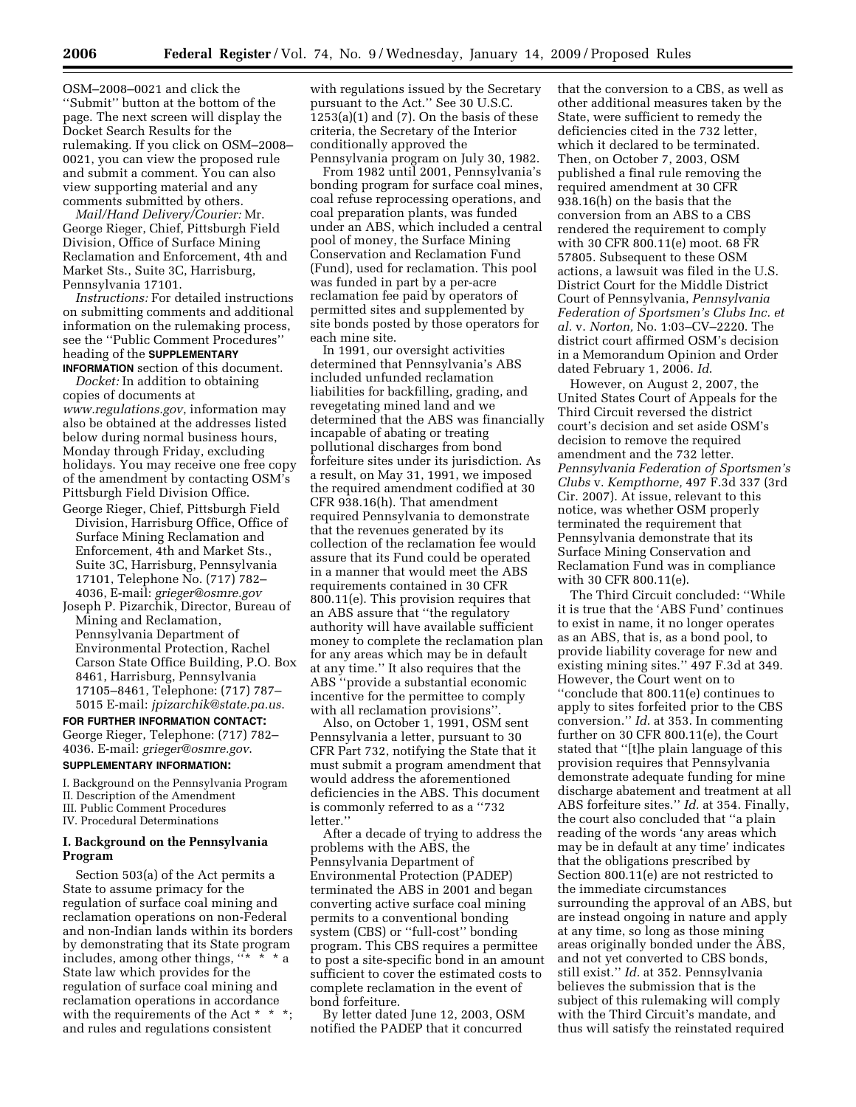OSM–2008–0021 and click the ''Submit'' button at the bottom of the page. The next screen will display the Docket Search Results for the rulemaking. If you click on OSM–2008– 0021, you can view the proposed rule and submit a comment. You can also view supporting material and any comments submitted by others.

*Mail/Hand Delivery/Courier:* Mr. George Rieger, Chief, Pittsburgh Field Division, Office of Surface Mining Reclamation and Enforcement, 4th and Market Sts., Suite 3C, Harrisburg, Pennsylvania 17101.

*Instructions:* For detailed instructions on submitting comments and additional information on the rulemaking process, see the ''Public Comment Procedures'' heading of the **SUPPLEMENTARY**

**INFORMATION** section of this document. *Docket:* In addition to obtaining copies of documents at *www.regulations.gov*, information may also be obtained at the addresses listed below during normal business hours, Monday through Friday, excluding holidays. You may receive one free copy of the amendment by contacting OSM's Pittsburgh Field Division Office.

- George Rieger, Chief, Pittsburgh Field Division, Harrisburg Office, Office of Surface Mining Reclamation and Enforcement, 4th and Market Sts., Suite 3C, Harrisburg, Pennsylvania 17101, Telephone No. (717) 782– 4036, E-mail: *grieger@osmre.gov*
- Joseph P. Pizarchik, Director, Bureau of Mining and Reclamation, Pennsylvania Department of Environmental Protection, Rachel Carson State Office Building, P.O. Box 8461, Harrisburg, Pennsylvania 17105–8461, Telephone: (717) 787– 5015 E-mail: *jpizarchik@state.pa.us*.

## **FOR FURTHER INFORMATION CONTACT:**  George Rieger, Telephone: (717) 782–

4036. E-mail: *grieger@osmre.gov*.

# **SUPPLEMENTARY INFORMATION:**

I. Background on the Pennsylvania Program II. Description of the Amendment

- III. Public Comment Procedures
- IV. Procedural Determinations

## **I. Background on the Pennsylvania Program**

Section 503(a) of the Act permits a State to assume primacy for the regulation of surface coal mining and reclamation operations on non-Federal and non-Indian lands within its borders by demonstrating that its State program includes, among other things, ''\* \* \* a State law which provides for the regulation of surface coal mining and reclamation operations in accordance with the requirements of the Act \* \* and rules and regulations consistent

with regulations issued by the Secretary pursuant to the Act.'' See 30 U.S.C.  $1253(a)(1)$  and  $(7)$ . On the basis of these criteria, the Secretary of the Interior conditionally approved the Pennsylvania program on July 30, 1982.

From 1982 until 2001, Pennsylvania's bonding program for surface coal mines, coal refuse reprocessing operations, and coal preparation plants, was funded under an ABS, which included a central pool of money, the Surface Mining Conservation and Reclamation Fund (Fund), used for reclamation. This pool was funded in part by a per-acre reclamation fee paid by operators of permitted sites and supplemented by site bonds posted by those operators for each mine site.

In 1991, our oversight activities determined that Pennsylvania's ABS included unfunded reclamation liabilities for backfilling, grading, and revegetating mined land and we determined that the ABS was financially incapable of abating or treating pollutional discharges from bond forfeiture sites under its jurisdiction. As a result, on May 31, 1991, we imposed the required amendment codified at 30 CFR 938.16(h). That amendment required Pennsylvania to demonstrate that the revenues generated by its collection of the reclamation fee would assure that its Fund could be operated in a manner that would meet the ABS requirements contained in 30 CFR 800.11(e). This provision requires that an ABS assure that ''the regulatory authority will have available sufficient money to complete the reclamation plan for any areas which may be in default at any time.'' It also requires that the ABS ''provide a substantial economic incentive for the permittee to comply with all reclamation provisions''.

Also, on October 1, 1991, OSM sent Pennsylvania a letter, pursuant to 30 CFR Part 732, notifying the State that it must submit a program amendment that would address the aforementioned deficiencies in the ABS. This document is commonly referred to as a ''732 letter."

After a decade of trying to address the problems with the ABS, the Pennsylvania Department of Environmental Protection (PADEP) terminated the ABS in 2001 and began converting active surface coal mining permits to a conventional bonding system (CBS) or ''full-cost'' bonding program. This CBS requires a permittee to post a site-specific bond in an amount sufficient to cover the estimated costs to complete reclamation in the event of bond forfeiture.

By letter dated June 12, 2003, OSM notified the PADEP that it concurred

that the conversion to a CBS, as well as other additional measures taken by the State, were sufficient to remedy the deficiencies cited in the 732 letter, which it declared to be terminated. Then, on October 7, 2003, OSM published a final rule removing the required amendment at 30 CFR 938.16(h) on the basis that the conversion from an ABS to a CBS rendered the requirement to comply with 30 CFR 800.11(e) moot. 68 FR 57805. Subsequent to these OSM actions, a lawsuit was filed in the U.S. District Court for the Middle District Court of Pennsylvania, *Pennsylvania Federation of Sportsmen's Clubs Inc. et al.* v. *Norton,* No. 1:03–CV–2220. The district court affirmed OSM's decision in a Memorandum Opinion and Order dated February 1, 2006. *Id*.

However, on August 2, 2007, the United States Court of Appeals for the Third Circuit reversed the district court's decision and set aside OSM's decision to remove the required amendment and the 732 letter. *Pennsylvania Federation of Sportsmen's Clubs* v. *Kempthorne,* 497 F.3d 337 (3rd Cir. 2007). At issue, relevant to this notice, was whether OSM properly terminated the requirement that Pennsylvania demonstrate that its Surface Mining Conservation and Reclamation Fund was in compliance with 30 CFR 800.11(e).

The Third Circuit concluded: ''While it is true that the 'ABS Fund' continues to exist in name, it no longer operates as an ABS, that is, as a bond pool, to provide liability coverage for new and existing mining sites.'' 497 F.3d at 349. However, the Court went on to ''conclude that 800.11(e) continues to

apply to sites forfeited prior to the CBS conversion.'' *Id*. at 353. In commenting further on 30 CFR 800.11(e), the Court stated that ''[t]he plain language of this provision requires that Pennsylvania demonstrate adequate funding for mine discharge abatement and treatment at all ABS forfeiture sites.'' *Id.* at 354. Finally, the court also concluded that ''a plain reading of the words 'any areas which may be in default at any time' indicates that the obligations prescribed by Section 800.11(e) are not restricted to the immediate circumstances surrounding the approval of an ABS, but are instead ongoing in nature and apply at any time, so long as those mining areas originally bonded under the ABS, and not yet converted to CBS bonds, still exist.'' *Id.* at 352. Pennsylvania believes the submission that is the subject of this rulemaking will comply with the Third Circuit's mandate, and thus will satisfy the reinstated required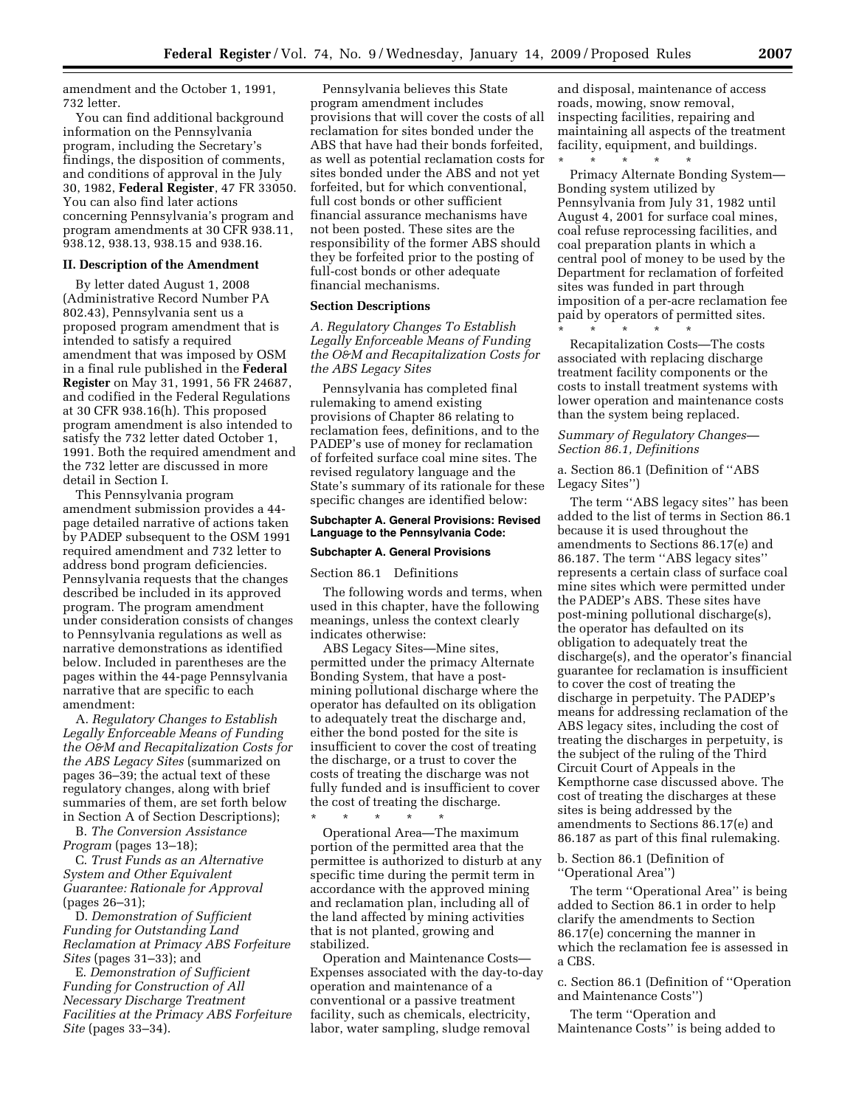amendment and the October 1, 1991, 732 letter.

You can find additional background information on the Pennsylvania program, including the Secretary's findings, the disposition of comments, and conditions of approval in the July 30, 1982, **Federal Register**, 47 FR 33050. You can also find later actions concerning Pennsylvania's program and program amendments at 30 CFR 938.11, 938.12, 938.13, 938.15 and 938.16.

#### **II. Description of the Amendment**

By letter dated August 1, 2008 (Administrative Record Number PA 802.43), Pennsylvania sent us a proposed program amendment that is intended to satisfy a required amendment that was imposed by OSM in a final rule published in the **Federal Register** on May 31, 1991, 56 FR 24687, and codified in the Federal Regulations at 30 CFR 938.16(h). This proposed program amendment is also intended to satisfy the 732 letter dated October 1, 1991. Both the required amendment and the 732 letter are discussed in more detail in Section I.

This Pennsylvania program amendment submission provides a 44 page detailed narrative of actions taken by PADEP subsequent to the OSM 1991 required amendment and 732 letter to address bond program deficiencies. Pennsylvania requests that the changes described be included in its approved program. The program amendment under consideration consists of changes to Pennsylvania regulations as well as narrative demonstrations as identified below. Included in parentheses are the pages within the 44-page Pennsylvania narrative that are specific to each amendment:

A. *Regulatory Changes to Establish Legally Enforceable Means of Funding the O&M and Recapitalization Costs for the ABS Legacy Sites* (summarized on pages 36–39; the actual text of these regulatory changes, along with brief summaries of them, are set forth below in Section A of Section Descriptions);

B. *The Conversion Assistance Program* (pages 13–18);

C. *Trust Funds as an Alternative System and Other Equivalent Guarantee: Rationale for Approval*  (pages 26–31);

D. *Demonstration of Sufficient Funding for Outstanding Land Reclamation at Primacy ABS Forfeiture Sites* (pages 31–33); and

E. *Demonstration of Sufficient Funding for Construction of All Necessary Discharge Treatment Facilities at the Primacy ABS Forfeiture Site* (pages 33–34).

Pennsylvania believes this State program amendment includes provisions that will cover the costs of all reclamation for sites bonded under the ABS that have had their bonds forfeited, as well as potential reclamation costs for sites bonded under the ABS and not yet forfeited, but for which conventional, full cost bonds or other sufficient financial assurance mechanisms have not been posted. These sites are the responsibility of the former ABS should they be forfeited prior to the posting of full-cost bonds or other adequate financial mechanisms.

#### **Section Descriptions**

*A. Regulatory Changes To Establish Legally Enforceable Means of Funding the O&M and Recapitalization Costs for the ABS Legacy Sites* 

Pennsylvania has completed final rulemaking to amend existing provisions of Chapter 86 relating to reclamation fees, definitions, and to the PADEP's use of money for reclamation of forfeited surface coal mine sites. The revised regulatory language and the State's summary of its rationale for these specific changes are identified below:

## **Subchapter A. General Provisions: Revised Language to the Pennsylvania Code:**

## **Subchapter A. General Provisions**

Section 86.1 Definitions

The following words and terms, when used in this chapter, have the following meanings, unless the context clearly indicates otherwise:

ABS Legacy Sites—Mine sites, permitted under the primacy Alternate Bonding System, that have a postmining pollutional discharge where the operator has defaulted on its obligation to adequately treat the discharge and, either the bond posted for the site is insufficient to cover the cost of treating the discharge, or a trust to cover the costs of treating the discharge was not fully funded and is insufficient to cover the cost of treating the discharge.

\* \* \* \* \* Operational Area—The maximum portion of the permitted area that the permittee is authorized to disturb at any specific time during the permit term in accordance with the approved mining and reclamation plan, including all of the land affected by mining activities that is not planted, growing and stabilized.

Operation and Maintenance Costs— Expenses associated with the day-to-day operation and maintenance of a conventional or a passive treatment facility, such as chemicals, electricity, labor, water sampling, sludge removal

and disposal, maintenance of access roads, mowing, snow removal, inspecting facilities, repairing and maintaining all aspects of the treatment facility, equipment, and buildings. \* \* \* \* \*

Primacy Alternate Bonding System— Bonding system utilized by Pennsylvania from July 31, 1982 until August 4, 2001 for surface coal mines, coal refuse reprocessing facilities, and coal preparation plants in which a central pool of money to be used by the Department for reclamation of forfeited sites was funded in part through imposition of a per-acre reclamation fee paid by operators of permitted sites.

\* \* \* \* \* Recapitalization Costs—The costs associated with replacing discharge treatment facility components or the costs to install treatment systems with lower operation and maintenance costs than the system being replaced.

*Summary of Regulatory Changes— Section 86.1, Definitions* 

a. Section 86.1 (Definition of ''ABS Legacy Sites'')

The term ''ABS legacy sites'' has been added to the list of terms in Section 86.1 because it is used throughout the amendments to Sections 86.17(e) and 86.187. The term ''ABS legacy sites'' represents a certain class of surface coal mine sites which were permitted under the PADEP's ABS. These sites have post-mining pollutional discharge(s), the operator has defaulted on its obligation to adequately treat the discharge(s), and the operator's financial guarantee for reclamation is insufficient to cover the cost of treating the discharge in perpetuity. The PADEP's means for addressing reclamation of the ABS legacy sites, including the cost of treating the discharges in perpetuity, is the subject of the ruling of the Third Circuit Court of Appeals in the Kempthorne case discussed above. The cost of treating the discharges at these sites is being addressed by the amendments to Sections 86.17(e) and 86.187 as part of this final rulemaking.

b. Section 86.1 (Definition of ''Operational Area'')

The term ''Operational Area'' is being added to Section 86.1 in order to help clarify the amendments to Section 86.17(e) concerning the manner in which the reclamation fee is assessed in a CBS.

c. Section 86.1 (Definition of ''Operation and Maintenance Costs'')

The term ''Operation and Maintenance Costs'' is being added to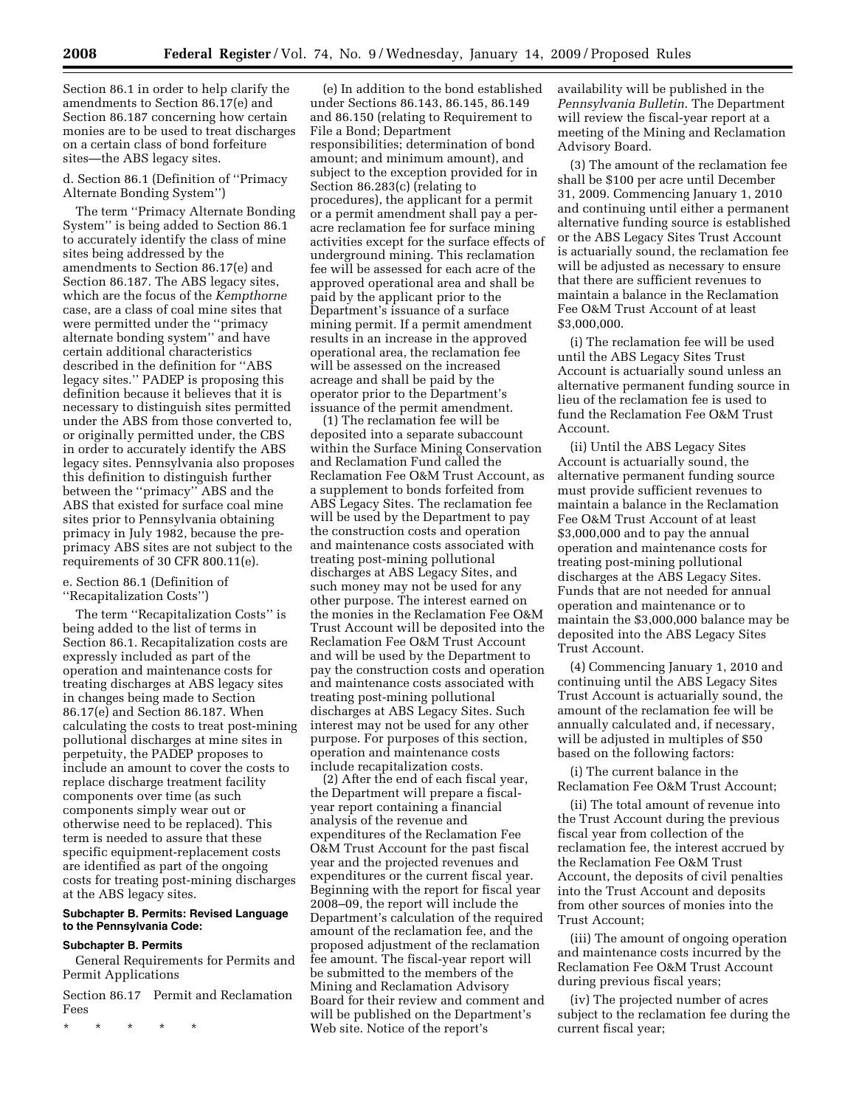Section 86.1 in order to help clarify the amendments to Section 86.17(e) and Section 86.187 concerning how certain monies are to be used to treat discharges on a certain class of bond forfeiture sites—the ABS legacy sites.

d. Section 86.1 (Definition of ''Primacy Alternate Bonding System'')

The term ''Primacy Alternate Bonding System'' is being added to Section 86.1 to accurately identify the class of mine sites being addressed by the amendments to Section 86.17(e) and Section 86.187. The ABS legacy sites, which are the focus of the *Kempthorne*  case, are a class of coal mine sites that were permitted under the ''primacy alternate bonding system'' and have certain additional characteristics described in the definition for ''ABS legacy sites.'' PADEP is proposing this definition because it believes that it is necessary to distinguish sites permitted under the ABS from those converted to, or originally permitted under, the CBS in order to accurately identify the ABS legacy sites. Pennsylvania also proposes this definition to distinguish further between the ''primacy'' ABS and the ABS that existed for surface coal mine sites prior to Pennsylvania obtaining primacy in July 1982, because the preprimacy ABS sites are not subject to the requirements of 30 CFR 800.11(e).

e. Section 86.1 (Definition of ''Recapitalization Costs'')

The term ''Recapitalization Costs'' is being added to the list of terms in Section 86.1. Recapitalization costs are expressly included as part of the operation and maintenance costs for treating discharges at ABS legacy sites in changes being made to Section 86.17(e) and Section 86.187. When calculating the costs to treat post-mining pollutional discharges at mine sites in perpetuity, the PADEP proposes to include an amount to cover the costs to replace discharge treatment facility components over time (as such components simply wear out or otherwise need to be replaced). This term is needed to assure that these specific equipment-replacement costs are identified as part of the ongoing costs for treating post-mining discharges at the ABS legacy sites.

#### **Subchapter B. Permits: Revised Language to the Pennsylvania Code:**

# **Subchapter B. Permits**

General Requirements for Permits and Permit Applications

Section 86.17 Permit and Reclamation Fees

\* \* \* \* \*

(e) In addition to the bond established under Sections 86.143, 86.145, 86.149 and 86.150 (relating to Requirement to File a Bond; Department responsibilities; determination of bond amount; and minimum amount), and subject to the exception provided for in Section 86.283(c) (relating to procedures), the applicant for a permit or a permit amendment shall pay a peracre reclamation fee for surface mining activities except for the surface effects of underground mining. This reclamation fee will be assessed for each acre of the approved operational area and shall be paid by the applicant prior to the Department's issuance of a surface mining permit. If a permit amendment results in an increase in the approved operational area, the reclamation fee will be assessed on the increased acreage and shall be paid by the operator prior to the Department's issuance of the permit amendment.

(1) The reclamation fee will be deposited into a separate subaccount within the Surface Mining Conservation and Reclamation Fund called the Reclamation Fee O&M Trust Account, as a supplement to bonds forfeited from ABS Legacy Sites. The reclamation fee will be used by the Department to pay the construction costs and operation and maintenance costs associated with treating post-mining pollutional discharges at ABS Legacy Sites, and such money may not be used for any other purpose. The interest earned on the monies in the Reclamation Fee O&M Trust Account will be deposited into the Reclamation Fee O&M Trust Account and will be used by the Department to pay the construction costs and operation and maintenance costs associated with treating post-mining pollutional discharges at ABS Legacy Sites. Such interest may not be used for any other purpose. For purposes of this section, operation and maintenance costs include recapitalization costs.

(2) After the end of each fiscal year, the Department will prepare a fiscalyear report containing a financial analysis of the revenue and expenditures of the Reclamation Fee O&M Trust Account for the past fiscal year and the projected revenues and expenditures or the current fiscal year. Beginning with the report for fiscal year 2008–09, the report will include the Department's calculation of the required amount of the reclamation fee, and the proposed adjustment of the reclamation fee amount. The fiscal-year report will be submitted to the members of the Mining and Reclamation Advisory Board for their review and comment and will be published on the Department's Web site. Notice of the report's

availability will be published in the *Pennsylvania Bulletin*. The Department will review the fiscal-year report at a meeting of the Mining and Reclamation Advisory Board.

(3) The amount of the reclamation fee shall be \$100 per acre until December 31, 2009. Commencing January 1, 2010 and continuing until either a permanent alternative funding source is established or the ABS Legacy Sites Trust Account is actuarially sound, the reclamation fee will be adjusted as necessary to ensure that there are sufficient revenues to maintain a balance in the Reclamation Fee O&M Trust Account of at least \$3,000,000.

(i) The reclamation fee will be used until the ABS Legacy Sites Trust Account is actuarially sound unless an alternative permanent funding source in lieu of the reclamation fee is used to fund the Reclamation Fee O&M Trust Account.

(ii) Until the ABS Legacy Sites Account is actuarially sound, the alternative permanent funding source must provide sufficient revenues to maintain a balance in the Reclamation Fee O&M Trust Account of at least \$3,000,000 and to pay the annual operation and maintenance costs for treating post-mining pollutional discharges at the ABS Legacy Sites. Funds that are not needed for annual operation and maintenance or to maintain the \$3,000,000 balance may be deposited into the ABS Legacy Sites Trust Account.

(4) Commencing January 1, 2010 and continuing until the ABS Legacy Sites Trust Account is actuarially sound, the amount of the reclamation fee will be annually calculated and, if necessary, will be adjusted in multiples of \$50 based on the following factors:

(i) The current balance in the Reclamation Fee O&M Trust Account;

(ii) The total amount of revenue into the Trust Account during the previous fiscal year from collection of the reclamation fee, the interest accrued by the Reclamation Fee O&M Trust Account, the deposits of civil penalties into the Trust Account and deposits from other sources of monies into the Trust Account;

(iii) The amount of ongoing operation and maintenance costs incurred by the Reclamation Fee O&M Trust Account during previous fiscal years;

(iv) The projected number of acres subject to the reclamation fee during the current fiscal year;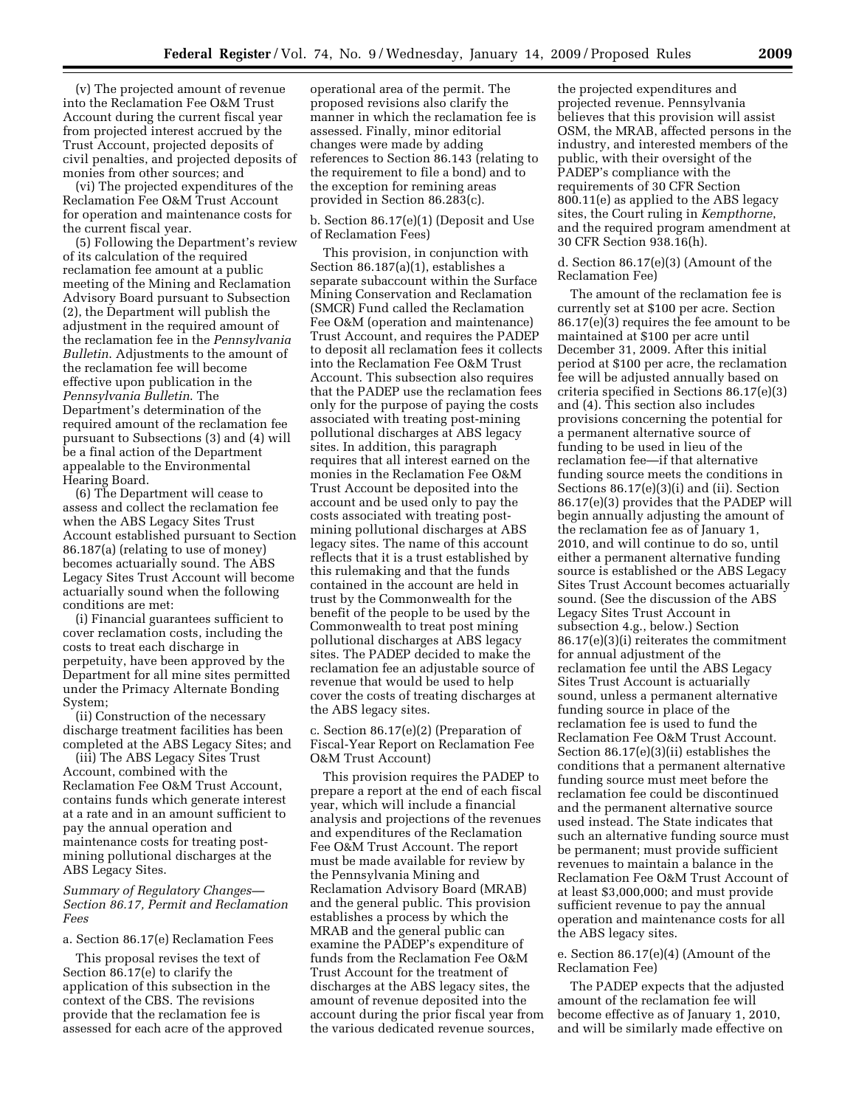(v) The projected amount of revenue into the Reclamation Fee O&M Trust Account during the current fiscal year from projected interest accrued by the Trust Account, projected deposits of civil penalties, and projected deposits of monies from other sources; and

(vi) The projected expenditures of the Reclamation Fee O&M Trust Account for operation and maintenance costs for the current fiscal year.

(5) Following the Department's review of its calculation of the required reclamation fee amount at a public meeting of the Mining and Reclamation Advisory Board pursuant to Subsection (2), the Department will publish the adjustment in the required amount of the reclamation fee in the *Pennsylvania Bulletin*. Adjustments to the amount of the reclamation fee will become effective upon publication in the *Pennsylvania Bulletin*. The Department's determination of the required amount of the reclamation fee pursuant to Subsections (3) and (4) will be a final action of the Department appealable to the Environmental Hearing Board.

(6) The Department will cease to assess and collect the reclamation fee when the ABS Legacy Sites Trust Account established pursuant to Section 86.187(a) (relating to use of money) becomes actuarially sound. The ABS Legacy Sites Trust Account will become actuarially sound when the following conditions are met:

(i) Financial guarantees sufficient to cover reclamation costs, including the costs to treat each discharge in perpetuity, have been approved by the Department for all mine sites permitted under the Primacy Alternate Bonding System;

(ii) Construction of the necessary discharge treatment facilities has been completed at the ABS Legacy Sites; and

(iii) The ABS Legacy Sites Trust Account, combined with the Reclamation Fee O&M Trust Account, contains funds which generate interest at a rate and in an amount sufficient to pay the annual operation and maintenance costs for treating postmining pollutional discharges at the ABS Legacy Sites.

# *Summary of Regulatory Changes— Section 86.17, Permit and Reclamation Fees*

# a. Section 86.17(e) Reclamation Fees

This proposal revises the text of Section 86.17(e) to clarify the application of this subsection in the context of the CBS. The revisions provide that the reclamation fee is assessed for each acre of the approved

operational area of the permit. The proposed revisions also clarify the manner in which the reclamation fee is assessed. Finally, minor editorial changes were made by adding references to Section 86.143 (relating to the requirement to file a bond) and to the exception for remining areas provided in Section 86.283(c).

# b. Section 86.17(e)(1) (Deposit and Use of Reclamation Fees)

This provision, in conjunction with Section 86.187(a)(1), establishes a separate subaccount within the Surface Mining Conservation and Reclamation (SMCR) Fund called the Reclamation Fee O&M (operation and maintenance) Trust Account, and requires the PADEP to deposit all reclamation fees it collects into the Reclamation Fee O&M Trust Account. This subsection also requires that the PADEP use the reclamation fees only for the purpose of paying the costs associated with treating post-mining pollutional discharges at ABS legacy sites. In addition, this paragraph requires that all interest earned on the monies in the Reclamation Fee O&M Trust Account be deposited into the account and be used only to pay the costs associated with treating postmining pollutional discharges at ABS legacy sites. The name of this account reflects that it is a trust established by this rulemaking and that the funds contained in the account are held in trust by the Commonwealth for the benefit of the people to be used by the Commonwealth to treat post mining pollutional discharges at ABS legacy sites. The PADEP decided to make the reclamation fee an adjustable source of revenue that would be used to help cover the costs of treating discharges at the ABS legacy sites.

c. Section 86.17(e)(2) (Preparation of Fiscal-Year Report on Reclamation Fee O&M Trust Account)

This provision requires the PADEP to prepare a report at the end of each fiscal year, which will include a financial analysis and projections of the revenues and expenditures of the Reclamation Fee O&M Trust Account. The report must be made available for review by the Pennsylvania Mining and Reclamation Advisory Board (MRAB) and the general public. This provision establishes a process by which the MRAB and the general public can examine the PADEP's expenditure of funds from the Reclamation Fee O&M Trust Account for the treatment of discharges at the ABS legacy sites, the amount of revenue deposited into the account during the prior fiscal year from the various dedicated revenue sources,

the projected expenditures and projected revenue. Pennsylvania believes that this provision will assist OSM, the MRAB, affected persons in the industry, and interested members of the public, with their oversight of the PADEP's compliance with the requirements of 30 CFR Section 800.11(e) as applied to the ABS legacy sites, the Court ruling in *Kempthorne*, and the required program amendment at 30 CFR Section 938.16(h).

d. Section 86.17(e)(3) (Amount of the Reclamation Fee)

The amount of the reclamation fee is currently set at \$100 per acre. Section 86.17(e)(3) requires the fee amount to be maintained at \$100 per acre until December 31, 2009. After this initial period at \$100 per acre, the reclamation fee will be adjusted annually based on criteria specified in Sections 86.17(e)(3) and (4). This section also includes provisions concerning the potential for a permanent alternative source of funding to be used in lieu of the reclamation fee—if that alternative funding source meets the conditions in Sections 86.17(e)(3)(i) and (ii). Section 86.17(e)(3) provides that the PADEP will begin annually adjusting the amount of the reclamation fee as of January 1, 2010, and will continue to do so, until either a permanent alternative funding source is established or the ABS Legacy Sites Trust Account becomes actuarially sound. (See the discussion of the ABS Legacy Sites Trust Account in subsection 4.g., below.) Section 86.17(e)(3)(i) reiterates the commitment for annual adjustment of the reclamation fee until the ABS Legacy Sites Trust Account is actuarially sound, unless a permanent alternative funding source in place of the reclamation fee is used to fund the Reclamation Fee O&M Trust Account. Section 86.17(e)(3)(ii) establishes the conditions that a permanent alternative funding source must meet before the reclamation fee could be discontinued and the permanent alternative source used instead. The State indicates that such an alternative funding source must be permanent; must provide sufficient revenues to maintain a balance in the Reclamation Fee O&M Trust Account of at least \$3,000,000; and must provide sufficient revenue to pay the annual operation and maintenance costs for all the ABS legacy sites.

# e. Section 86.17(e)(4) (Amount of the Reclamation Fee)

The PADEP expects that the adjusted amount of the reclamation fee will become effective as of January 1, 2010, and will be similarly made effective on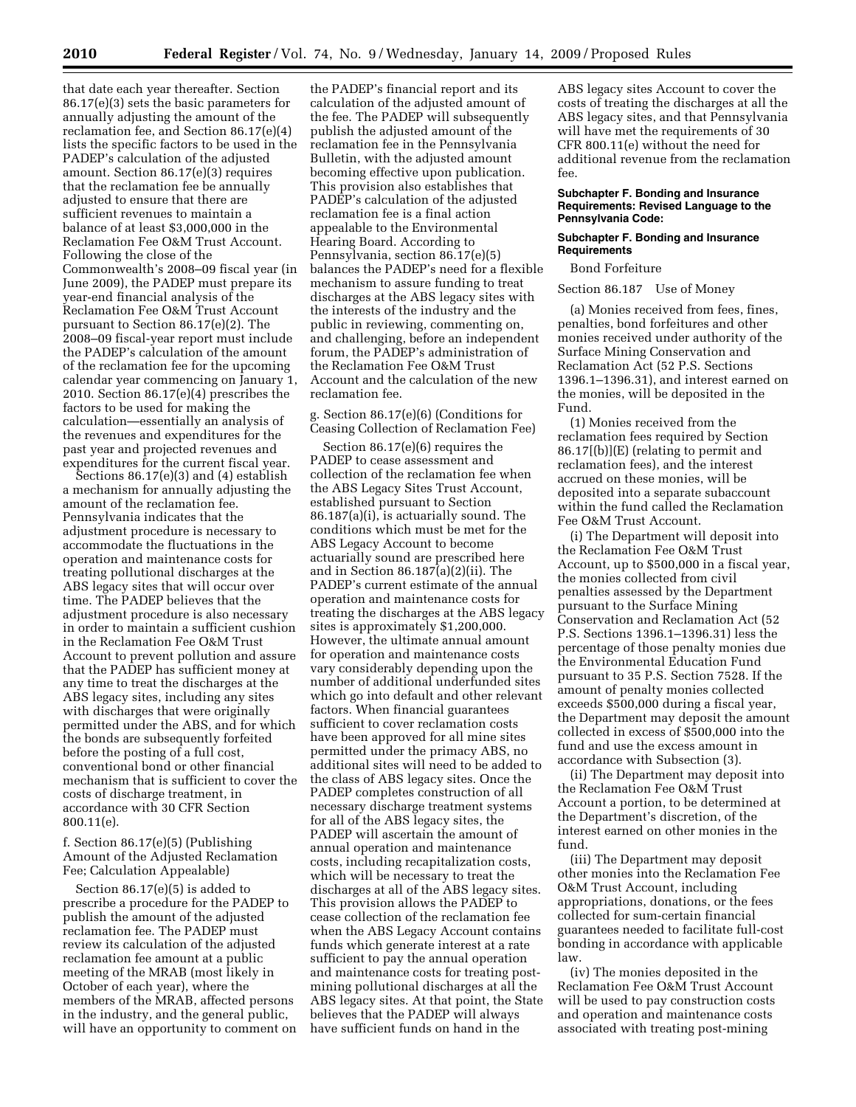that date each year thereafter. Section 86.17(e)(3) sets the basic parameters for annually adjusting the amount of the reclamation fee, and Section 86.17(e)(4) lists the specific factors to be used in the PADEP's calculation of the adjusted amount. Section 86.17(e)(3) requires that the reclamation fee be annually adjusted to ensure that there are sufficient revenues to maintain a balance of at least \$3,000,000 in the Reclamation Fee O&M Trust Account. Following the close of the Commonwealth's 2008–09 fiscal year (in June 2009), the PADEP must prepare its year-end financial analysis of the Reclamation Fee O&M Trust Account pursuant to Section 86.17(e)(2). The 2008–09 fiscal-year report must include the PADEP's calculation of the amount of the reclamation fee for the upcoming calendar year commencing on January 1, 2010. Section 86.17(e)(4) prescribes the factors to be used for making the calculation—essentially an analysis of the revenues and expenditures for the past year and projected revenues and expenditures for the current fiscal year.

Sections 86.17(e)(3) and (4) establish a mechanism for annually adjusting the amount of the reclamation fee. Pennsylvania indicates that the adjustment procedure is necessary to accommodate the fluctuations in the operation and maintenance costs for treating pollutional discharges at the ABS legacy sites that will occur over time. The PADEP believes that the adjustment procedure is also necessary in order to maintain a sufficient cushion in the Reclamation Fee O&M Trust Account to prevent pollution and assure that the PADEP has sufficient money at any time to treat the discharges at the ABS legacy sites, including any sites with discharges that were originally permitted under the ABS, and for which the bonds are subsequently forfeited before the posting of a full cost, conventional bond or other financial mechanism that is sufficient to cover the costs of discharge treatment, in accordance with 30 CFR Section 800.11(e).

# f. Section 86.17(e)(5) (Publishing Amount of the Adjusted Reclamation Fee; Calculation Appealable)

Section 86.17(e)(5) is added to prescribe a procedure for the PADEP to publish the amount of the adjusted reclamation fee. The PADEP must review its calculation of the adjusted reclamation fee amount at a public meeting of the MRAB (most likely in October of each year), where the members of the MRAB, affected persons in the industry, and the general public, will have an opportunity to comment on

the PADEP's financial report and its calculation of the adjusted amount of the fee. The PADEP will subsequently publish the adjusted amount of the reclamation fee in the Pennsylvania Bulletin, with the adjusted amount becoming effective upon publication. This provision also establishes that PADEP's calculation of the adjusted reclamation fee is a final action appealable to the Environmental Hearing Board. According to Pennsylvania, section 86.17(e)(5) balances the PADEP's need for a flexible mechanism to assure funding to treat discharges at the ABS legacy sites with the interests of the industry and the public in reviewing, commenting on, and challenging, before an independent forum, the PADEP's administration of the Reclamation Fee O&M Trust Account and the calculation of the new reclamation fee.

g. Section 86.17(e)(6) (Conditions for Ceasing Collection of Reclamation Fee)

Section 86.17(e)(6) requires the PADEP to cease assessment and collection of the reclamation fee when the ABS Legacy Sites Trust Account, established pursuant to Section 86.187(a)(i), is actuarially sound. The conditions which must be met for the ABS Legacy Account to become actuarially sound are prescribed here and in Section 86.187(a)(2)(ii). The PADEP's current estimate of the annual operation and maintenance costs for treating the discharges at the ABS legacy sites is approximately \$1,200,000. However, the ultimate annual amount for operation and maintenance costs vary considerably depending upon the number of additional underfunded sites which go into default and other relevant factors. When financial guarantees sufficient to cover reclamation costs have been approved for all mine sites permitted under the primacy ABS, no additional sites will need to be added to the class of ABS legacy sites. Once the PADEP completes construction of all necessary discharge treatment systems for all of the ABS legacy sites, the PADEP will ascertain the amount of annual operation and maintenance costs, including recapitalization costs, which will be necessary to treat the discharges at all of the ABS legacy sites. This provision allows the PADEP to cease collection of the reclamation fee when the ABS Legacy Account contains funds which generate interest at a rate sufficient to pay the annual operation and maintenance costs for treating postmining pollutional discharges at all the ABS legacy sites. At that point, the State believes that the PADEP will always have sufficient funds on hand in the

ABS legacy sites Account to cover the costs of treating the discharges at all the ABS legacy sites, and that Pennsylvania will have met the requirements of 30 CFR 800.11(e) without the need for additional revenue from the reclamation fee.

#### **Subchapter F. Bonding and Insurance Requirements: Revised Language to the Pennsylvania Code:**

# **Subchapter F. Bonding and Insurance Requirements**

Bond Forfeiture

# Section 86.187 Use of Money

(a) Monies received from fees, fines, penalties, bond forfeitures and other monies received under authority of the Surface Mining Conservation and Reclamation Act (52 P.S. Sections 1396.1–1396.31), and interest earned on the monies, will be deposited in the Fund.

(1) Monies received from the reclamation fees required by Section 86.17[(b)](E) (relating to permit and reclamation fees), and the interest accrued on these monies, will be deposited into a separate subaccount within the fund called the Reclamation Fee O&M Trust Account.

(i) The Department will deposit into the Reclamation Fee O&M Trust Account, up to \$500,000 in a fiscal year, the monies collected from civil penalties assessed by the Department pursuant to the Surface Mining Conservation and Reclamation Act (52 P.S. Sections 1396.1–1396.31) less the percentage of those penalty monies due the Environmental Education Fund pursuant to 35 P.S. Section 7528. If the amount of penalty monies collected exceeds \$500,000 during a fiscal year, the Department may deposit the amount collected in excess of \$500,000 into the fund and use the excess amount in accordance with Subsection (3).

(ii) The Department may deposit into the Reclamation Fee O&M Trust Account a portion, to be determined at the Department's discretion, of the interest earned on other monies in the fund.

(iii) The Department may deposit other monies into the Reclamation Fee O&M Trust Account, including appropriations, donations, or the fees collected for sum-certain financial guarantees needed to facilitate full-cost bonding in accordance with applicable law.

(iv) The monies deposited in the Reclamation Fee O&M Trust Account will be used to pay construction costs and operation and maintenance costs associated with treating post-mining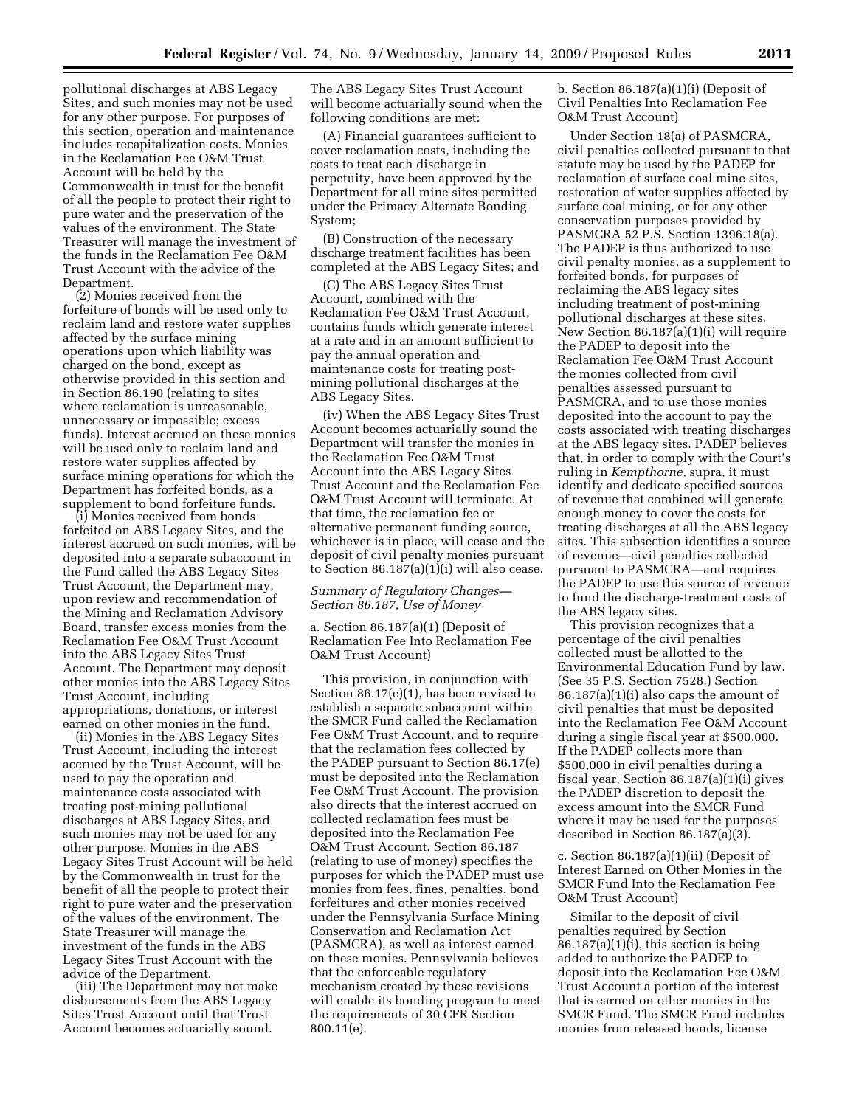pollutional discharges at ABS Legacy Sites, and such monies may not be used for any other purpose. For purposes of this section, operation and maintenance includes recapitalization costs. Monies in the Reclamation Fee O&M Trust Account will be held by the Commonwealth in trust for the benefit of all the people to protect their right to pure water and the preservation of the values of the environment. The State Treasurer will manage the investment of the funds in the Reclamation Fee O&M Trust Account with the advice of the Department.

(2) Monies received from the forfeiture of bonds will be used only to reclaim land and restore water supplies affected by the surface mining operations upon which liability was charged on the bond, except as otherwise provided in this section and in Section 86.190 (relating to sites where reclamation is unreasonable, unnecessary or impossible; excess funds). Interest accrued on these monies will be used only to reclaim land and restore water supplies affected by surface mining operations for which the Department has forfeited bonds, as a supplement to bond forfeiture funds.

(i) Monies received from bonds forfeited on ABS Legacy Sites, and the interest accrued on such monies, will be deposited into a separate subaccount in the Fund called the ABS Legacy Sites Trust Account, the Department may, upon review and recommendation of the Mining and Reclamation Advisory Board, transfer excess monies from the Reclamation Fee O&M Trust Account into the ABS Legacy Sites Trust Account. The Department may deposit other monies into the ABS Legacy Sites Trust Account, including appropriations, donations, or interest earned on other monies in the fund.

(ii) Monies in the ABS Legacy Sites Trust Account, including the interest accrued by the Trust Account, will be used to pay the operation and maintenance costs associated with treating post-mining pollutional discharges at ABS Legacy Sites, and such monies may not be used for any other purpose. Monies in the ABS Legacy Sites Trust Account will be held by the Commonwealth in trust for the benefit of all the people to protect their right to pure water and the preservation of the values of the environment. The State Treasurer will manage the investment of the funds in the ABS Legacy Sites Trust Account with the advice of the Department.

(iii) The Department may not make disbursements from the ABS Legacy Sites Trust Account until that Trust Account becomes actuarially sound.

The ABS Legacy Sites Trust Account will become actuarially sound when the following conditions are met:

(A) Financial guarantees sufficient to cover reclamation costs, including the costs to treat each discharge in perpetuity, have been approved by the Department for all mine sites permitted under the Primacy Alternate Bonding System;

(B) Construction of the necessary discharge treatment facilities has been completed at the ABS Legacy Sites; and

(C) The ABS Legacy Sites Trust Account, combined with the Reclamation Fee O&M Trust Account, contains funds which generate interest at a rate and in an amount sufficient to pay the annual operation and maintenance costs for treating postmining pollutional discharges at the ABS Legacy Sites.

(iv) When the ABS Legacy Sites Trust Account becomes actuarially sound the Department will transfer the monies in the Reclamation Fee O&M Trust Account into the ABS Legacy Sites Trust Account and the Reclamation Fee O&M Trust Account will terminate. At that time, the reclamation fee or alternative permanent funding source, whichever is in place, will cease and the deposit of civil penalty monies pursuant to Section 86.187(a)(1)(i) will also cease.

## *Summary of Regulatory Changes— Section 86.187, Use of Money*

a. Section 86.187(a)(1) (Deposit of Reclamation Fee Into Reclamation Fee O&M Trust Account)

This provision, in conjunction with Section 86.17(e)(1), has been revised to establish a separate subaccount within the SMCR Fund called the Reclamation Fee O&M Trust Account, and to require that the reclamation fees collected by the PADEP pursuant to Section 86.17(e) must be deposited into the Reclamation Fee O&M Trust Account. The provision also directs that the interest accrued on collected reclamation fees must be deposited into the Reclamation Fee O&M Trust Account. Section 86.187 (relating to use of money) specifies the purposes for which the PADEP must use monies from fees, fines, penalties, bond forfeitures and other monies received under the Pennsylvania Surface Mining Conservation and Reclamation Act (PASMCRA), as well as interest earned on these monies. Pennsylvania believes that the enforceable regulatory mechanism created by these revisions will enable its bonding program to meet the requirements of 30 CFR Section 800.11(e).

b. Section 86.187(a)(1)(i) (Deposit of Civil Penalties Into Reclamation Fee O&M Trust Account)

Under Section 18(a) of PASMCRA, civil penalties collected pursuant to that statute may be used by the PADEP for reclamation of surface coal mine sites, restoration of water supplies affected by surface coal mining, or for any other conservation purposes provided by PASMCRA 52 P.S. Section 1396.18(a). The PADEP is thus authorized to use civil penalty monies, as a supplement to forfeited bonds, for purposes of reclaiming the ABS legacy sites including treatment of post-mining pollutional discharges at these sites. New Section 86.187(a)(1)(i) will require the PADEP to deposit into the Reclamation Fee O&M Trust Account the monies collected from civil penalties assessed pursuant to PASMCRA, and to use those monies deposited into the account to pay the costs associated with treating discharges at the ABS legacy sites. PADEP believes that, in order to comply with the Court's ruling in *Kempthorne*, supra, it must identify and dedicate specified sources of revenue that combined will generate enough money to cover the costs for treating discharges at all the ABS legacy sites. This subsection identifies a source of revenue—civil penalties collected pursuant to PASMCRA—and requires the PADEP to use this source of revenue to fund the discharge-treatment costs of the ABS legacy sites.

This provision recognizes that a percentage of the civil penalties collected must be allotted to the Environmental Education Fund by law. (See 35 P.S. Section 7528.) Section 86.187(a)(1)(i) also caps the amount of civil penalties that must be deposited into the Reclamation Fee O&M Account during a single fiscal year at \$500,000. If the PADEP collects more than \$500,000 in civil penalties during a fiscal year, Section 86.187(a)(1)(i) gives the PADEP discretion to deposit the excess amount into the SMCR Fund where it may be used for the purposes described in Section 86.187(a)(3).

c. Section 86.187(a)(1)(ii) (Deposit of Interest Earned on Other Monies in the SMCR Fund Into the Reclamation Fee O&M Trust Account)

Similar to the deposit of civil penalties required by Section  $86.187(a)(1)(i)$ , this section is being added to authorize the PADEP to deposit into the Reclamation Fee O&M Trust Account a portion of the interest that is earned on other monies in the SMCR Fund. The SMCR Fund includes monies from released bonds, license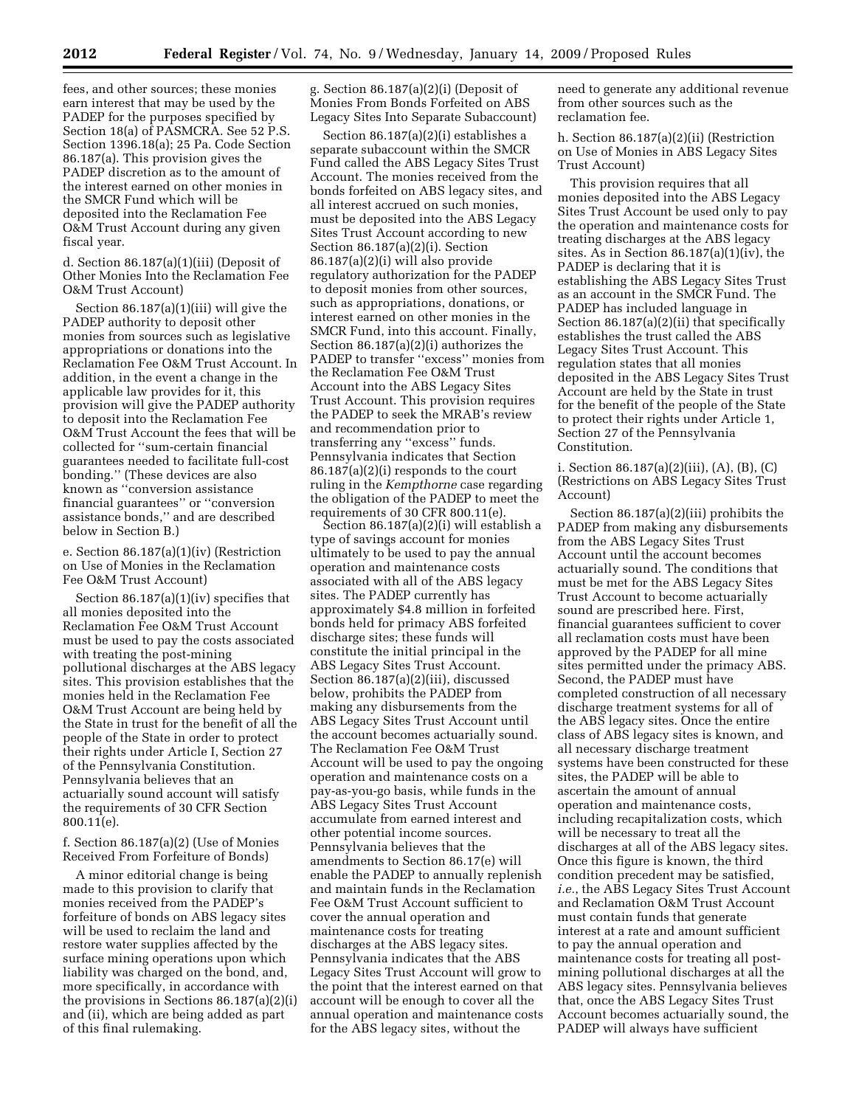fees, and other sources; these monies earn interest that may be used by the PADEP for the purposes specified by Section 18(a) of PASMCRA. See 52 P.S. Section 1396.18(a); 25 Pa. Code Section 86.187(a). This provision gives the PADEP discretion as to the amount of the interest earned on other monies in the SMCR Fund which will be deposited into the Reclamation Fee O&M Trust Account during any given fiscal year.

d. Section 86.187(a)(1)(iii) (Deposit of Other Monies Into the Reclamation Fee O&M Trust Account)

Section 86.187(a)(1)(iii) will give the PADEP authority to deposit other monies from sources such as legislative appropriations or donations into the Reclamation Fee O&M Trust Account. In addition, in the event a change in the applicable law provides for it, this provision will give the PADEP authority to deposit into the Reclamation Fee O&M Trust Account the fees that will be collected for ''sum-certain financial guarantees needed to facilitate full-cost bonding.'' (These devices are also known as ''conversion assistance financial guarantees'' or ''conversion assistance bonds,'' and are described below in Section B.)

e. Section 86.187(a)(1)(iv) (Restriction on Use of Monies in the Reclamation Fee O&M Trust Account)

Section 86.187(a)(1)(iv) specifies that all monies deposited into the Reclamation Fee O&M Trust Account must be used to pay the costs associated with treating the post-mining pollutional discharges at the ABS legacy sites. This provision establishes that the monies held in the Reclamation Fee O&M Trust Account are being held by the State in trust for the benefit of all the people of the State in order to protect their rights under Article I, Section 27 of the Pennsylvania Constitution. Pennsylvania believes that an actuarially sound account will satisfy the requirements of 30 CFR Section 800.11(e).

f. Section 86.187(a)(2) (Use of Monies Received From Forfeiture of Bonds)

A minor editorial change is being made to this provision to clarify that monies received from the PADEP's forfeiture of bonds on ABS legacy sites will be used to reclaim the land and restore water supplies affected by the surface mining operations upon which liability was charged on the bond, and, more specifically, in accordance with the provisions in Sections 86.187(a)(2)(i) and (ii), which are being added as part of this final rulemaking.

g. Section 86.187(a)(2)(i) (Deposit of Monies From Bonds Forfeited on ABS Legacy Sites Into Separate Subaccount)

Section 86.187(a)(2)(i) establishes a separate subaccount within the SMCR Fund called the ABS Legacy Sites Trust Account. The monies received from the bonds forfeited on ABS legacy sites, and all interest accrued on such monies, must be deposited into the ABS Legacy Sites Trust Account according to new Section 86.187(a)(2)(i). Section 86.187(a)(2)(i) will also provide regulatory authorization for the PADEP to deposit monies from other sources, such as appropriations, donations, or interest earned on other monies in the SMCR Fund, into this account. Finally, Section 86.187(a)(2)(i) authorizes the PADEP to transfer ''excess'' monies from the Reclamation Fee O&M Trust Account into the ABS Legacy Sites Trust Account. This provision requires the PADEP to seek the MRAB's review and recommendation prior to transferring any ''excess'' funds. Pennsylvania indicates that Section 86.187(a)(2)(i) responds to the court ruling in the *Kempthorne* case regarding the obligation of the PADEP to meet the requirements of 30 CFR 800.11(e).

Section 86.187(a)(2)(i) will establish a type of savings account for monies ultimately to be used to pay the annual operation and maintenance costs associated with all of the ABS legacy sites. The PADEP currently has approximately \$4.8 million in forfeited bonds held for primacy ABS forfeited discharge sites; these funds will constitute the initial principal in the ABS Legacy Sites Trust Account. Section 86.187(a)(2)(iii), discussed below, prohibits the PADEP from making any disbursements from the ABS Legacy Sites Trust Account until the account becomes actuarially sound. The Reclamation Fee O&M Trust Account will be used to pay the ongoing operation and maintenance costs on a pay-as-you-go basis, while funds in the ABS Legacy Sites Trust Account accumulate from earned interest and other potential income sources. Pennsylvania believes that the amendments to Section 86.17(e) will enable the PADEP to annually replenish and maintain funds in the Reclamation Fee O&M Trust Account sufficient to cover the annual operation and maintenance costs for treating discharges at the ABS legacy sites. Pennsylvania indicates that the ABS Legacy Sites Trust Account will grow to the point that the interest earned on that account will be enough to cover all the annual operation and maintenance costs for the ABS legacy sites, without the

need to generate any additional revenue from other sources such as the reclamation fee.

h. Section 86.187(a)(2)(ii) (Restriction on Use of Monies in ABS Legacy Sites Trust Account)

This provision requires that all monies deposited into the ABS Legacy Sites Trust Account be used only to pay the operation and maintenance costs for treating discharges at the ABS legacy sites. As in Section 86.187(a)(1)(iv), the PADEP is declaring that it is establishing the ABS Legacy Sites Trust as an account in the SMCR Fund. The PADEP has included language in Section 86.187(a)(2)(ii) that specifically establishes the trust called the ABS Legacy Sites Trust Account. This regulation states that all monies deposited in the ABS Legacy Sites Trust Account are held by the State in trust for the benefit of the people of the State to protect their rights under Article 1, Section 27 of the Pennsylvania Constitution.

i. Section 86.187(a)(2)(iii), (A), (B), (C) (Restrictions on ABS Legacy Sites Trust Account)

Section 86.187(a)(2)(iii) prohibits the PADEP from making any disbursements from the ABS Legacy Sites Trust Account until the account becomes actuarially sound. The conditions that must be met for the ABS Legacy Sites Trust Account to become actuarially sound are prescribed here. First, financial guarantees sufficient to cover all reclamation costs must have been approved by the PADEP for all mine sites permitted under the primacy ABS. Second, the PADEP must have completed construction of all necessary discharge treatment systems for all of the ABS legacy sites. Once the entire class of ABS legacy sites is known, and all necessary discharge treatment systems have been constructed for these sites, the PADEP will be able to ascertain the amount of annual operation and maintenance costs, including recapitalization costs, which will be necessary to treat all the discharges at all of the ABS legacy sites. Once this figure is known, the third condition precedent may be satisfied, *i.e.*, the ABS Legacy Sites Trust Account and Reclamation O&M Trust Account must contain funds that generate interest at a rate and amount sufficient to pay the annual operation and maintenance costs for treating all postmining pollutional discharges at all the ABS legacy sites. Pennsylvania believes that, once the ABS Legacy Sites Trust Account becomes actuarially sound, the PADEP will always have sufficient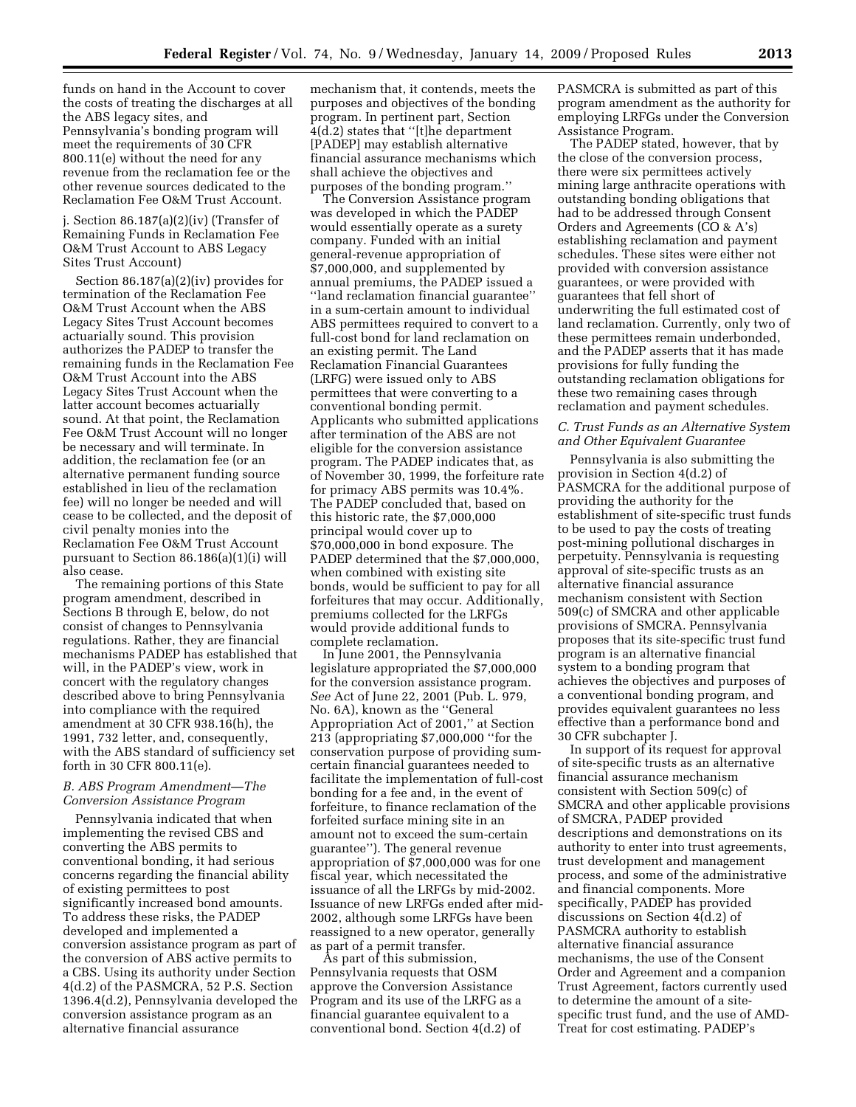funds on hand in the Account to cover the costs of treating the discharges at all the ABS legacy sites, and Pennsylvania's bonding program will meet the requirements of 30 CFR 800.11(e) without the need for any revenue from the reclamation fee or the other revenue sources dedicated to the Reclamation Fee O&M Trust Account.

j. Section 86.187(a)(2)(iv) (Transfer of Remaining Funds in Reclamation Fee O&M Trust Account to ABS Legacy Sites Trust Account)

Section 86.187(a)(2)(iv) provides for termination of the Reclamation Fee O&M Trust Account when the ABS Legacy Sites Trust Account becomes actuarially sound. This provision authorizes the PADEP to transfer the remaining funds in the Reclamation Fee O&M Trust Account into the ABS Legacy Sites Trust Account when the latter account becomes actuarially sound. At that point, the Reclamation Fee O&M Trust Account will no longer be necessary and will terminate. In addition, the reclamation fee (or an alternative permanent funding source established in lieu of the reclamation fee) will no longer be needed and will cease to be collected, and the deposit of civil penalty monies into the Reclamation Fee O&M Trust Account pursuant to Section 86.186(a)(1)(i) will also cease.

The remaining portions of this State program amendment, described in Sections B through E, below, do not consist of changes to Pennsylvania regulations. Rather, they are financial mechanisms PADEP has established that will, in the PADEP's view, work in concert with the regulatory changes described above to bring Pennsylvania into compliance with the required amendment at 30 CFR 938.16(h), the 1991, 732 letter, and, consequently, with the ABS standard of sufficiency set forth in 30 CFR 800.11(e).

# *B. ABS Program Amendment—The Conversion Assistance Program*

Pennsylvania indicated that when implementing the revised CBS and converting the ABS permits to conventional bonding, it had serious concerns regarding the financial ability of existing permittees to post significantly increased bond amounts. To address these risks, the PADEP developed and implemented a conversion assistance program as part of the conversion of ABS active permits to a CBS. Using its authority under Section 4(d.2) of the PASMCRA, 52 P.S. Section 1396.4(d.2), Pennsylvania developed the conversion assistance program as an alternative financial assurance

mechanism that, it contends, meets the purposes and objectives of the bonding program. In pertinent part, Section 4(d.2) states that ''[t]he department [PADEP] may establish alternative financial assurance mechanisms which shall achieve the objectives and purposes of the bonding program.''

The Conversion Assistance program was developed in which the PADEP would essentially operate as a surety company. Funded with an initial general-revenue appropriation of \$7,000,000, and supplemented by annual premiums, the PADEP issued a ''land reclamation financial guarantee'' in a sum-certain amount to individual ABS permittees required to convert to a full-cost bond for land reclamation on an existing permit. The Land Reclamation Financial Guarantees (LRFG) were issued only to ABS permittees that were converting to a conventional bonding permit. Applicants who submitted applications after termination of the ABS are not eligible for the conversion assistance program. The PADEP indicates that, as of November 30, 1999, the forfeiture rate for primacy ABS permits was 10.4%. The PADEP concluded that, based on this historic rate, the \$7,000,000 principal would cover up to \$70,000,000 in bond exposure. The PADEP determined that the \$7,000,000, when combined with existing site bonds, would be sufficient to pay for all forfeitures that may occur. Additionally, premiums collected for the LRFGs would provide additional funds to complete reclamation.

In June 2001, the Pennsylvania legislature appropriated the \$7,000,000 for the conversion assistance program. *See* Act of June 22, 2001 (Pub. L. 979, No. 6A), known as the ''General Appropriation Act of 2001,'' at Section 213 (appropriating \$7,000,000 ''for the conservation purpose of providing sumcertain financial guarantees needed to facilitate the implementation of full-cost bonding for a fee and, in the event of forfeiture, to finance reclamation of the forfeited surface mining site in an amount not to exceed the sum-certain guarantee''). The general revenue appropriation of \$7,000,000 was for one fiscal year, which necessitated the issuance of all the LRFGs by mid-2002. Issuance of new LRFGs ended after mid-2002, although some LRFGs have been reassigned to a new operator, generally as part of a permit transfer.

As part of this submission, Pennsylvania requests that OSM approve the Conversion Assistance Program and its use of the LRFG as a financial guarantee equivalent to a conventional bond. Section 4(d.2) of

PASMCRA is submitted as part of this program amendment as the authority for employing LRFGs under the Conversion Assistance Program.

The PADEP stated, however, that by the close of the conversion process, there were six permittees actively mining large anthracite operations with outstanding bonding obligations that had to be addressed through Consent Orders and Agreements (CO & A's) establishing reclamation and payment schedules. These sites were either not provided with conversion assistance guarantees, or were provided with guarantees that fell short of underwriting the full estimated cost of land reclamation. Currently, only two of these permittees remain underbonded, and the PADEP asserts that it has made provisions for fully funding the outstanding reclamation obligations for these two remaining cases through reclamation and payment schedules.

## *C. Trust Funds as an Alternative System and Other Equivalent Guarantee*

Pennsylvania is also submitting the provision in Section 4(d.2) of PASMCRA for the additional purpose of providing the authority for the establishment of site-specific trust funds to be used to pay the costs of treating post-mining pollutional discharges in perpetuity. Pennsylvania is requesting approval of site-specific trusts as an alternative financial assurance mechanism consistent with Section 509(c) of SMCRA and other applicable provisions of SMCRA. Pennsylvania proposes that its site-specific trust fund program is an alternative financial system to a bonding program that achieves the objectives and purposes of a conventional bonding program, and provides equivalent guarantees no less effective than a performance bond and 30 CFR subchapter J.

In support of its request for approval of site-specific trusts as an alternative financial assurance mechanism consistent with Section 509(c) of SMCRA and other applicable provisions of SMCRA, PADEP provided descriptions and demonstrations on its authority to enter into trust agreements, trust development and management process, and some of the administrative and financial components. More specifically, PADEP has provided discussions on Section 4(d.2) of PASMCRA authority to establish alternative financial assurance mechanisms, the use of the Consent Order and Agreement and a companion Trust Agreement, factors currently used to determine the amount of a sitespecific trust fund, and the use of AMD-Treat for cost estimating. PADEP's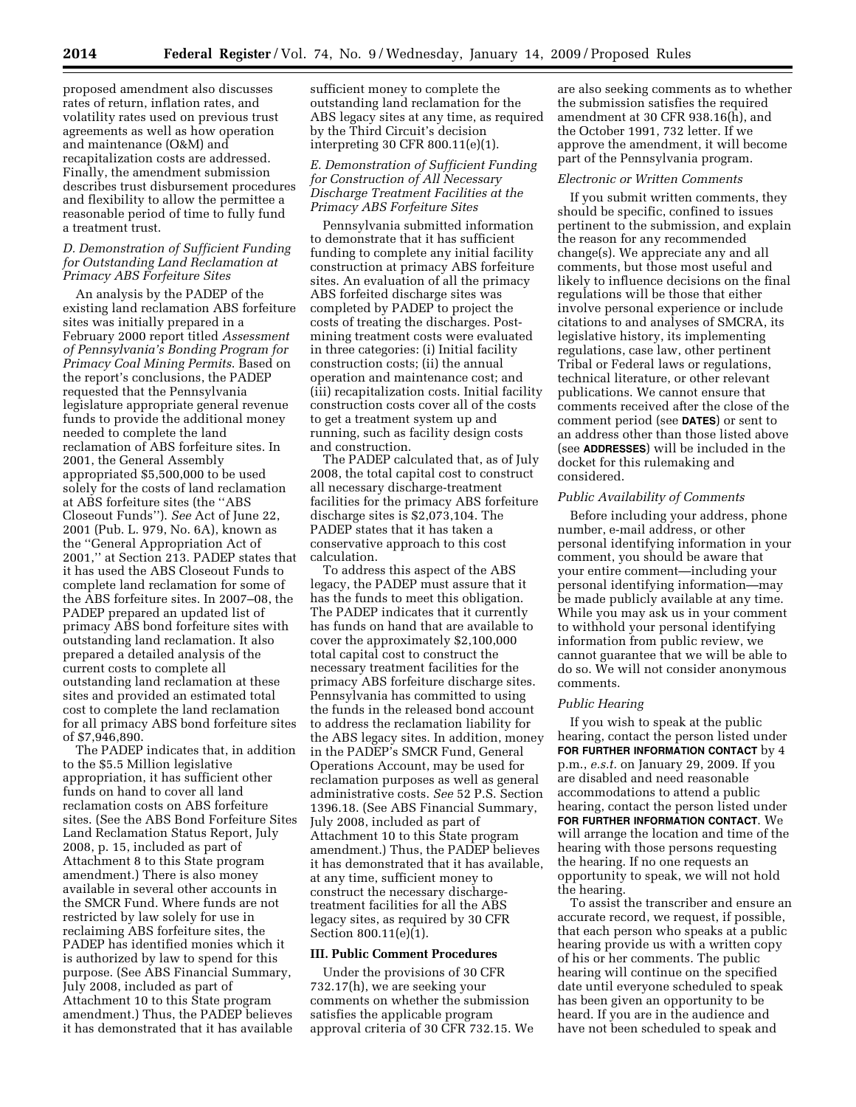proposed amendment also discusses rates of return, inflation rates, and volatility rates used on previous trust agreements as well as how operation and maintenance (O&M) and recapitalization costs are addressed. Finally, the amendment submission describes trust disbursement procedures and flexibility to allow the permittee a reasonable period of time to fully fund a treatment trust.

## *D. Demonstration of Sufficient Funding for Outstanding Land Reclamation at Primacy ABS Forfeiture Sites*

An analysis by the PADEP of the existing land reclamation ABS forfeiture sites was initially prepared in a February 2000 report titled *Assessment of Pennsylvania's Bonding Program for Primacy Coal Mining Permits*. Based on the report's conclusions, the PADEP requested that the Pennsylvania legislature appropriate general revenue funds to provide the additional money needed to complete the land reclamation of ABS forfeiture sites. In 2001, the General Assembly appropriated \$5,500,000 to be used solely for the costs of land reclamation at ABS forfeiture sites (the ''ABS Closeout Funds''). *See* Act of June 22, 2001 (Pub. L. 979, No. 6A), known as the ''General Appropriation Act of 2001,'' at Section 213. PADEP states that it has used the ABS Closeout Funds to complete land reclamation for some of the ABS forfeiture sites. In 2007–08, the PADEP prepared an updated list of primacy ABS bond forfeiture sites with outstanding land reclamation. It also prepared a detailed analysis of the current costs to complete all outstanding land reclamation at these sites and provided an estimated total cost to complete the land reclamation for all primacy ABS bond forfeiture sites of \$7,946,890.

The PADEP indicates that, in addition to the \$5.5 Million legislative appropriation, it has sufficient other funds on hand to cover all land reclamation costs on ABS forfeiture sites. (See the ABS Bond Forfeiture Sites Land Reclamation Status Report, July 2008, p. 15, included as part of Attachment 8 to this State program amendment.) There is also money available in several other accounts in the SMCR Fund. Where funds are not restricted by law solely for use in reclaiming ABS forfeiture sites, the PADEP has identified monies which it is authorized by law to spend for this purpose. (See ABS Financial Summary, July 2008, included as part of Attachment 10 to this State program amendment.) Thus, the PADEP believes it has demonstrated that it has available

sufficient money to complete the outstanding land reclamation for the ABS legacy sites at any time, as required by the Third Circuit's decision interpreting 30 CFR 800.11(e)(1).

# *E. Demonstration of Sufficient Funding for Construction of All Necessary Discharge Treatment Facilities at the Primacy ABS Forfeiture Sites*

Pennsylvania submitted information to demonstrate that it has sufficient funding to complete any initial facility construction at primacy ABS forfeiture sites. An evaluation of all the primacy ABS forfeited discharge sites was completed by PADEP to project the costs of treating the discharges. Postmining treatment costs were evaluated in three categories: (i) Initial facility construction costs; (ii) the annual operation and maintenance cost; and (iii) recapitalization costs. Initial facility construction costs cover all of the costs to get a treatment system up and running, such as facility design costs and construction.

The PADEP calculated that, as of July 2008, the total capital cost to construct all necessary discharge-treatment facilities for the primacy ABS forfeiture discharge sites is \$2,073,104. The PADEP states that it has taken a conservative approach to this cost calculation.

To address this aspect of the ABS legacy, the PADEP must assure that it has the funds to meet this obligation. The PADEP indicates that it currently has funds on hand that are available to cover the approximately \$2,100,000 total capital cost to construct the necessary treatment facilities for the primacy ABS forfeiture discharge sites. Pennsylvania has committed to using the funds in the released bond account to address the reclamation liability for the ABS legacy sites. In addition, money in the PADEP's SMCR Fund, General Operations Account, may be used for reclamation purposes as well as general administrative costs. *See* 52 P.S. Section 1396.18. (See ABS Financial Summary, July 2008, included as part of Attachment 10 to this State program amendment.) Thus, the PADEP believes it has demonstrated that it has available, at any time, sufficient money to construct the necessary dischargetreatment facilities for all the ABS legacy sites, as required by 30 CFR Section 800.11(e)(1).

# **III. Public Comment Procedures**

Under the provisions of 30 CFR 732.17(h), we are seeking your comments on whether the submission satisfies the applicable program approval criteria of 30 CFR 732.15. We

are also seeking comments as to whether the submission satisfies the required amendment at 30 CFR 938.16(h), and the October 1991, 732 letter. If we approve the amendment, it will become part of the Pennsylvania program.

#### *Electronic or Written Comments*

If you submit written comments, they should be specific, confined to issues pertinent to the submission, and explain the reason for any recommended change(s). We appreciate any and all comments, but those most useful and likely to influence decisions on the final regulations will be those that either involve personal experience or include citations to and analyses of SMCRA, its legislative history, its implementing regulations, case law, other pertinent Tribal or Federal laws or regulations, technical literature, or other relevant publications. We cannot ensure that comments received after the close of the comment period (see **DATES**) or sent to an address other than those listed above (see **ADDRESSES**) will be included in the docket for this rulemaking and considered.

## *Public Availability of Comments*

Before including your address, phone number, e-mail address, or other personal identifying information in your comment, you should be aware that your entire comment—including your personal identifying information—may be made publicly available at any time. While you may ask us in your comment to withhold your personal identifying information from public review, we cannot guarantee that we will be able to do so. We will not consider anonymous comments.

#### *Public Hearing*

If you wish to speak at the public hearing, contact the person listed under **FOR FURTHER INFORMATION CONTACT** by 4 p.m., *e.s.t.* on January 29, 2009. If you are disabled and need reasonable accommodations to attend a public hearing, contact the person listed under **FOR FURTHER INFORMATION CONTACT**. We will arrange the location and time of the hearing with those persons requesting the hearing. If no one requests an opportunity to speak, we will not hold the hearing.

To assist the transcriber and ensure an accurate record, we request, if possible, that each person who speaks at a public hearing provide us with a written copy of his or her comments. The public hearing will continue on the specified date until everyone scheduled to speak has been given an opportunity to be heard. If you are in the audience and have not been scheduled to speak and